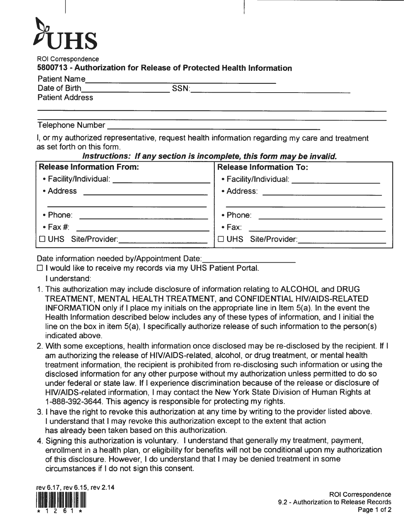# $\delta$ UHS

ROI Correspondence

# **5800713** - **Authorization for Release of Protected Health Information**  Patient Name<br>Patient Name<br>Date of Birth **SSN: SSN: SSN: Contract Address**

| <b>Patient Name</b> |  |
|---------------------|--|
| Date of Birth       |  |

Telephone Number

I, or my authorized representative, request health information regarding my care and treatment as set forth on this form .

#### **Instructions:** *If* **any section is incomplete, this form may be invalid.**

| <b>Release Information From:</b>                                                                                                     | <b>Release Information To:</b> |  |  |
|--------------------------------------------------------------------------------------------------------------------------------------|--------------------------------|--|--|
|                                                                                                                                      |                                |  |  |
| • Address<br><u> The Communication of the Communication of the Communication of the Communication of the Communication of the Co</u> |                                |  |  |
| • Phone: 2008 2009 2010 2021 2022 2023 2024 2022 2022 2023 2024 2022 2023 2024 2022 2023 2024 2025 2026 2027 20                      |                                |  |  |
| $\cdot$ Fax #:                                                                                                                       |                                |  |  |
| $\Box$ UHS Site/Provider:                                                                                                            | UHS Site/Provider:             |  |  |

Date information needed by/Appointment Date:

 $\Box$  I would like to receive my records via my UHS Patient Portal.

I understand:

- 1. This authorization may include disclosure of information relating to ALCOHOL and DRUG TREATMENT, MENTAL HEALTH TREATMENT, and CONFIDENTIAL HIV/AIDS-RELATED INFORMATION only if I place my initials on the appropriate line in Item S(a). In the event the Health information described below includes any of these types of information, and I initial the line on the box in item S(a), I specifically authorize release of such information to the person(s) indicated above.
- 2. With some exceptions, health information once disclosed may be re-disclosed by the recipient. If I am authorizing the release of HIV/AIDS-related, alcohol, or drug treatment, or mental health treatment information, the recipient is prohibited from re-disclosing such information or using the disclosed information for any other purpose without my authorization unless permitted to do so under federal or state law. If I experience discrimination because of the release or disclosure of HIV/AIDS-related information, I may contact the New York State Division of Human Rights at 1-888-392-3644. This agency is responsible for protecting my rights.
- 3. I have the right to revoke this authorization at any time by writing to the provider listed above. I understand that I may revoke this authorization except to the extent that action has already been taken based on this authorization.
- 4. Signing this authorization is voluntary. I understand that generally my treatment, payment, enrollment in a health plan, or eligibility for benefits will not be conditional upon my authorization of this disclosure. However, I do understand that I may be denied treatment in some circumstances if I do not sign this consent.

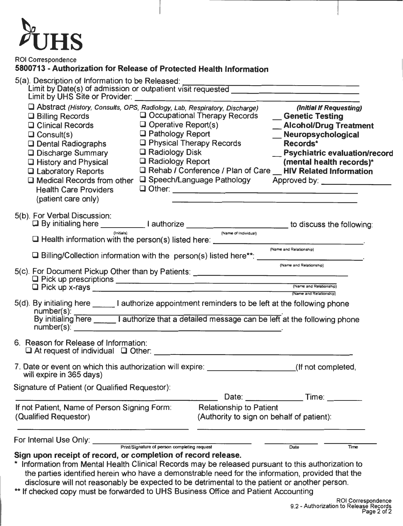

ROI Correspondence

## **5800713 -Authorization for Release of Protected Health Information**

| Abstract (History, Consults, OPS, Radiology, Lab, Respiratory, Discharge)<br>$\Box$ Billing Records<br>$\Box$ Operative Report(s)<br><b>□ Clinical Records</b><br>□ Pathology Report<br>$\Box$ Consult(s)<br>$\Box$ Dental Radiographs<br>$\Box$ Radiology Disk<br>□ Discharge Summary<br>$\Box$ Radiology Report<br>□ History and Physical<br>$\Box$ Laboratory Reports<br>□ Medical Records from other □ Speech/Language Pathology Approved by: ________________<br><b>Health Care Providers</b><br>(patient care only) | $\Box$ Physical Therapy Records<br>$\mathbf{r}$                             | (Initial If Requesting)<br>□ Occupational Therapy Records <u>Genetic Testing</u><br>_ Alcohol/Drug Treatment<br>_Meuropsychological<br>Records*<br>_ Psychiatric evaluation/record<br>(mental health records)*<br>□ Rehab / Conference / Plan of Care ॒ HIV Related Information |
|---------------------------------------------------------------------------------------------------------------------------------------------------------------------------------------------------------------------------------------------------------------------------------------------------------------------------------------------------------------------------------------------------------------------------------------------------------------------------------------------------------------------------|-----------------------------------------------------------------------------|---------------------------------------------------------------------------------------------------------------------------------------------------------------------------------------------------------------------------------------------------------------------------------|
| 5(b). For Verbal Discussion:<br>□ By initialing here ______________I authorize ______________________________to discuss the following:                                                                                                                                                                                                                                                                                                                                                                                    | (Name of Individual)                                                        |                                                                                                                                                                                                                                                                                 |
| (Initials)                                                                                                                                                                                                                                                                                                                                                                                                                                                                                                                |                                                                             |                                                                                                                                                                                                                                                                                 |
|                                                                                                                                                                                                                                                                                                                                                                                                                                                                                                                           |                                                                             | (Name and Relationship)                                                                                                                                                                                                                                                         |
|                                                                                                                                                                                                                                                                                                                                                                                                                                                                                                                           |                                                                             | (Name and Relationship)<br>(Name and Relationship)                                                                                                                                                                                                                              |
| 5(d). By initialing here ________ I authorize appointment reminders to be left at the following phone                                                                                                                                                                                                                                                                                                                                                                                                                     |                                                                             | (Name and Relationship)                                                                                                                                                                                                                                                         |
| 6. Reason for Release of Information:                                                                                                                                                                                                                                                                                                                                                                                                                                                                                     |                                                                             |                                                                                                                                                                                                                                                                                 |
| 7. Date or event on which this authorization will expire:<br>will expire in 365 days)                                                                                                                                                                                                                                                                                                                                                                                                                                     |                                                                             | (If not completed.                                                                                                                                                                                                                                                              |
| Signature of Patient (or Qualified Requestor):                                                                                                                                                                                                                                                                                                                                                                                                                                                                            |                                                                             | Date: Time:                                                                                                                                                                                                                                                                     |
| If not Patient, Name of Person Signing Form:<br>(Qualified Requestor)                                                                                                                                                                                                                                                                                                                                                                                                                                                     | <b>Relationship to Patient</b><br>(Authority to sign on behalf of patient): |                                                                                                                                                                                                                                                                                 |
| For Internal Use Only: Print/Signature of person completing request                                                                                                                                                                                                                                                                                                                                                                                                                                                       |                                                                             |                                                                                                                                                                                                                                                                                 |
| Sign upon receipt of record, or completion of record release.<br>Information from Mental Health Clinical Records may be released pursuant to this authorization to<br>the parties identified herein who have a demonstrable need for the information, provided that the<br>disclosure will not reasonably be expected to be detrimental to the patient or another person.<br>If checked copy must be forwarded to UHS Business Office and Patient Accounting                                                              |                                                                             | Time<br>Date                                                                                                                                                                                                                                                                    |